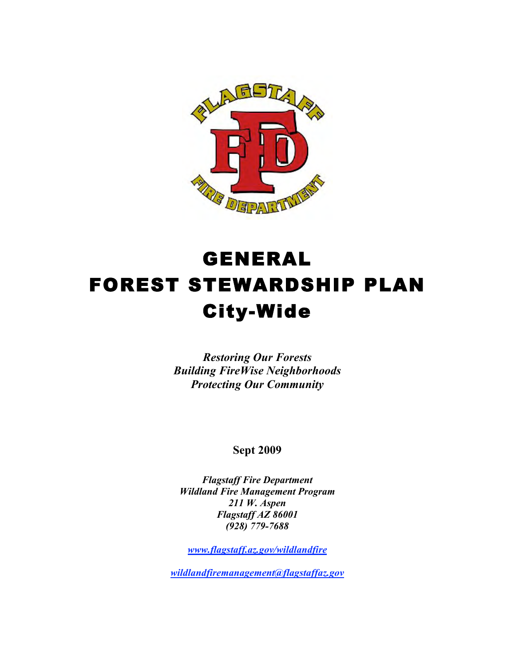

# GENERAL FOREST STEWARDSHIP PLAN City-Wide

*Restoring Our Forests Building FireWise Neighborhoods Protecting Our Community*

**Sept 2009**

*Flagstaff Fire Department Wildland Fire Management Program 211 W. Aspen Flagstaff AZ 86001 (928) 779-7688* 

*www.flagstaff.az.gov/wildlandfire*

*wildlandfiremanagement@flagstaffaz.gov*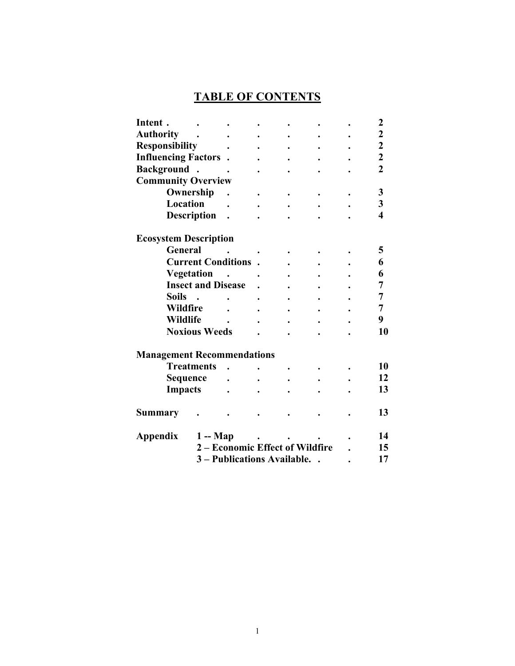# **TABLE OF CONTENTS**

| Intent.                           |                                 |  |  |  | $\boldsymbol{2}$        |
|-----------------------------------|---------------------------------|--|--|--|-------------------------|
| <b>Authority</b>                  |                                 |  |  |  | $\overline{\mathbf{c}}$ |
| <b>Responsibility</b>             |                                 |  |  |  | $\overline{\mathbf{c}}$ |
| <b>Influencing Factors</b> .      |                                 |  |  |  | $\overline{\mathbf{c}}$ |
| Background.                       |                                 |  |  |  | $\overline{2}$          |
| <b>Community Overview</b>         |                                 |  |  |  |                         |
| Ownership                         |                                 |  |  |  | 3                       |
| Location                          |                                 |  |  |  | 3                       |
| <b>Description</b>                |                                 |  |  |  | 4                       |
| <b>Ecosystem Description</b>      |                                 |  |  |  |                         |
| <b>General</b>                    |                                 |  |  |  | 5                       |
| <b>Current Conditions</b>         |                                 |  |  |  | 6                       |
| <b>Vegetation</b>                 |                                 |  |  |  | 6                       |
| <b>Insect and Disease</b>         |                                 |  |  |  | 7                       |
| <b>Soils</b>                      |                                 |  |  |  | 7                       |
| <b>Wildfire</b>                   |                                 |  |  |  | 7                       |
| <b>Wildlife</b>                   |                                 |  |  |  | 9                       |
| <b>Noxious Weeds</b>              |                                 |  |  |  | 10                      |
| <b>Management Recommendations</b> |                                 |  |  |  |                         |
| <b>Treatments</b>                 |                                 |  |  |  | 10                      |
| <b>Sequence</b>                   |                                 |  |  |  | 12                      |
| <b>Impacts</b>                    |                                 |  |  |  | 13                      |
| Summary                           |                                 |  |  |  | 13                      |
| $1 - Map$<br>Appendix             |                                 |  |  |  | 14                      |
|                                   | 2 - Economic Effect of Wildfire |  |  |  | 15                      |
|                                   | 3 - Publications Available.     |  |  |  | 17                      |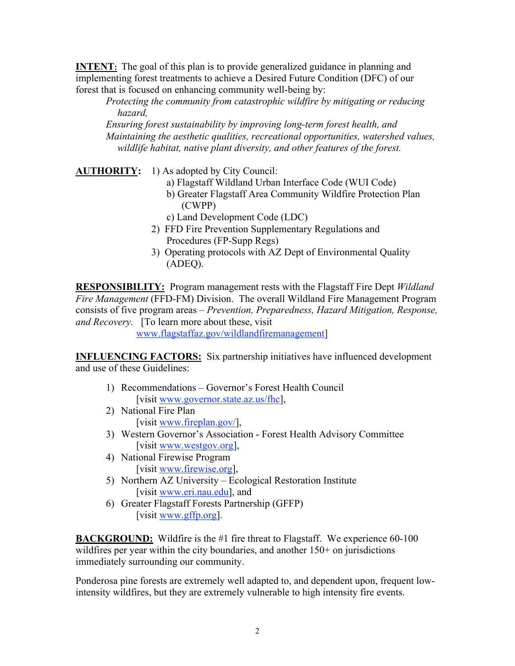**INTENT:** The goal of this plan is to provide generalized guidance in planning and implementing forest treatments to achieve a Desired Future Condition (DFC) of our forest that is focused on enhancing community well-being by:

*Protecting the community from catastrophic wildfire by mitigating or reducing hazard,* 

*Ensuring forest sustainability by improving long-term forest health, and Maintaining the aesthetic qualities, recreational opportunities, watershed values, wildlife habitat, native plant diversity, and other features of the forest.*

**AUTHORITY:** 1) As adopted by City Council:

- a) Flagstaff Wildland Urban Interface Code (WUI Code)
- b) Greater Flagstaff Area Community Wildfire Protection Plan (CWPP)
- c) Land Development Code (LDC)
- 2) FFD Fire Prevention Supplementary Regulations and Procedures (FP-Supp Regs)
- 3) Operating protocols with AZ Dept of Environmental Quality (ADEQ).

**RESPONSIBILITY:** Program management rests with the Flagstaff Fire Dept *Wildland Fire Management* (FFD-FM) Division. The overall Wildland Fire Management Program consists of five program areas – *Prevention, Preparedness, Hazard Mitigation, Response, and Recovery.* [To learn more about these, visit

www.flagstaffaz.gov/wildlandfiremanagement]

**INFLUENCING FACTORS:** Six partnership initiatives have influenced development and use of these Guidelines:

- 1) Recommendations Governor's Forest Health Council [visit www.governor.state.az.us/fhc],
- 2) National Fire Plan [visit www.fireplan.gov/],
- 3) Western Governor's Association Forest Health Advisory Committee [visit www.westgov.org],
- 4) National Firewise Program [visit www.firewise.org],
- 5) Northern AZ University Ecological Restoration Institute [visit www.eri.nau.edu], and
- 6) Greater Flagstaff Forests Partnership (GFFP) [visit www.gffp.org].

**BACKGROUND:** Wildfire is the #1 fire threat to Flagstaff. We experience 60-100 wildfires per year within the city boundaries, and another 150+ on jurisdictions immediately surrounding our community.

Ponderosa pine forests are extremely well adapted to, and dependent upon, frequent lowintensity wildfires, but they are extremely vulnerable to high intensity fire events.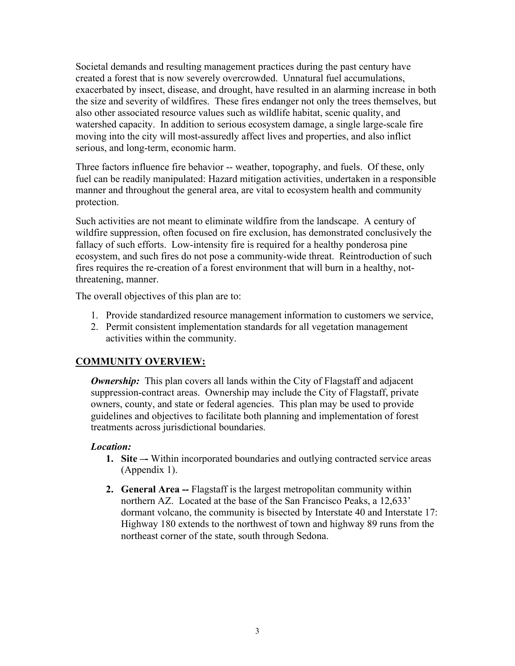Societal demands and resulting management practices during the past century have created a forest that is now severely overcrowded. Unnatural fuel accumulations, exacerbated by insect, disease, and drought, have resulted in an alarming increase in both the size and severity of wildfires. These fires endanger not only the trees themselves, but also other associated resource values such as wildlife habitat, scenic quality, and watershed capacity. In addition to serious ecosystem damage, a single large-scale fire moving into the city will most-assuredly affect lives and properties, and also inflict serious, and long-term, economic harm.

Three factors influence fire behavior -- weather, topography, and fuels. Of these, only fuel can be readily manipulated: Hazard mitigation activities, undertaken in a responsible manner and throughout the general area, are vital to ecosystem health and community protection.

Such activities are not meant to eliminate wildfire from the landscape. A century of wildfire suppression, often focused on fire exclusion, has demonstrated conclusively the fallacy of such efforts. Low-intensity fire is required for a healthy ponderosa pine ecosystem, and such fires do not pose a community-wide threat. Reintroduction of such fires requires the re-creation of a forest environment that will burn in a healthy, notthreatening, manner.

The overall objectives of this plan are to:

- 1. Provide standardized resource management information to customers we service,
- 2. Permit consistent implementation standards for all vegetation management activities within the community.

## **COMMUNITY OVERVIEW:**

*Ownership:* This plan covers all lands within the City of Flagstaff and adjacent suppression-contract areas. Ownership may include the City of Flagstaff, private owners, county, and state or federal agencies. This plan may be used to provide guidelines and objectives to facilitate both planning and implementation of forest treatments across jurisdictional boundaries.

## *Location:*

- **1. Site –-** Within incorporated boundaries and outlying contracted service areas (Appendix 1).
- **2. General Area --** Flagstaff is the largest metropolitan community within northern AZ. Located at the base of the San Francisco Peaks, a 12,633' dormant volcano, the community is bisected by Interstate 40 and Interstate 17: Highway 180 extends to the northwest of town and highway 89 runs from the northeast corner of the state, south through Sedona.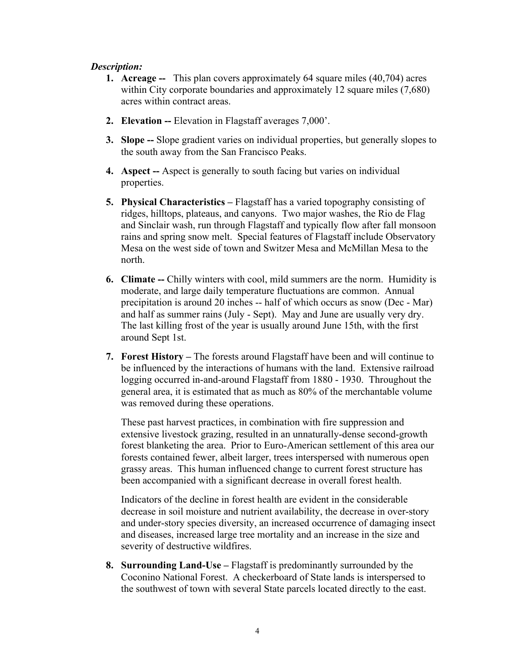#### *Description:*

- **1. Acreage --** This plan covers approximately 64 square miles (40,704) acres within City corporate boundaries and approximately 12 square miles (7,680) acres within contract areas.
- **2. Elevation --** Elevation in Flagstaff averages 7,000'.
- **3. Slope --** Slope gradient varies on individual properties, but generally slopes to the south away from the San Francisco Peaks.
- **4. Aspect --** Aspect is generally to south facing but varies on individual properties.
- **5. Physical Characteristics –** Flagstaff has a varied topography consisting of ridges, hilltops, plateaus, and canyons. Two major washes, the Rio de Flag and Sinclair wash, run through Flagstaff and typically flow after fall monsoon rains and spring snow melt. Special features of Flagstaff include Observatory Mesa on the west side of town and Switzer Mesa and McMillan Mesa to the north.
- **6. Climate --** Chilly winters with cool, mild summers are the norm. Humidity is moderate, and large daily temperature fluctuations are common. Annual precipitation is around 20 inches -- half of which occurs as snow (Dec - Mar) and half as summer rains (July - Sept). May and June are usually very dry. The last killing frost of the year is usually around June 15th, with the first around Sept 1st.
- **7. Forest History –** The forests around Flagstaff have been and will continue to be influenced by the interactions of humans with the land. Extensive railroad logging occurred in-and-around Flagstaff from 1880 - 1930. Throughout the general area, it is estimated that as much as 80% of the merchantable volume was removed during these operations.

These past harvest practices, in combination with fire suppression and extensive livestock grazing, resulted in an unnaturally-dense second-growth forest blanketing the area. Prior to Euro-American settlement of this area our forests contained fewer, albeit larger, trees interspersed with numerous open grassy areas. This human influenced change to current forest structure has been accompanied with a significant decrease in overall forest health.

Indicators of the decline in forest health are evident in the considerable decrease in soil moisture and nutrient availability, the decrease in over-story and under-story species diversity, an increased occurrence of damaging insect and diseases, increased large tree mortality and an increase in the size and severity of destructive wildfires.

**8. Surrounding Land-Use –** Flagstaff is predominantly surrounded by the Coconino National Forest. A checkerboard of State lands is interspersed to the southwest of town with several State parcels located directly to the east.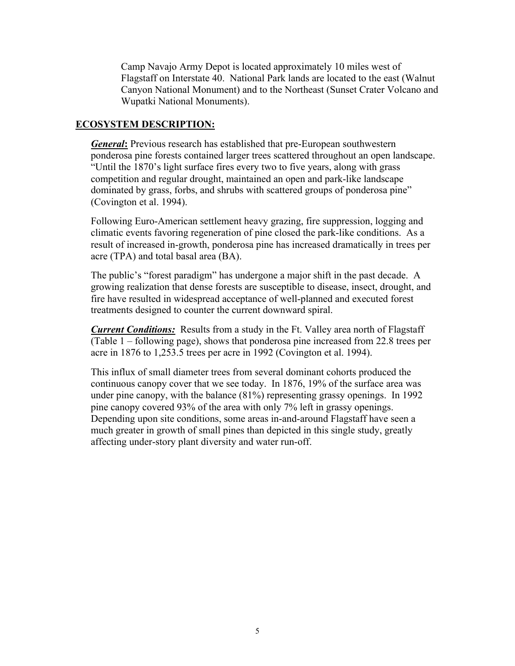Camp Navajo Army Depot is located approximately 10 miles west of Flagstaff on Interstate 40. National Park lands are located to the east (Walnut Canyon National Monument) and to the Northeast (Sunset Crater Volcano and Wupatki National Monuments).

#### **ECOSYSTEM DESCRIPTION:**

*General***:** Previous research has established that pre-European southwestern ponderosa pine forests contained larger trees scattered throughout an open landscape. "Until the 1870's light surface fires every two to five years, along with grass competition and regular drought, maintained an open and park-like landscape dominated by grass, forbs, and shrubs with scattered groups of ponderosa pine" (Covington et al. 1994).

Following Euro-American settlement heavy grazing, fire suppression, logging and climatic events favoring regeneration of pine closed the park-like conditions. As a result of increased in-growth, ponderosa pine has increased dramatically in trees per acre (TPA) and total basal area (BA).

The public's "forest paradigm" has undergone a major shift in the past decade. A growing realization that dense forests are susceptible to disease, insect, drought, and fire have resulted in widespread acceptance of well-planned and executed forest treatments designed to counter the current downward spiral.

*Current Conditions:* Results from a study in the Ft. Valley area north of Flagstaff (Table 1 – following page), shows that ponderosa pine increased from 22.8 trees per acre in 1876 to 1,253.5 trees per acre in 1992 (Covington et al. 1994).

This influx of small diameter trees from several dominant cohorts produced the continuous canopy cover that we see today. In 1876, 19% of the surface area was under pine canopy, with the balance (81%) representing grassy openings. In 1992 pine canopy covered 93% of the area with only 7% left in grassy openings. Depending upon site conditions, some areas in-and-around Flagstaff have seen a much greater in growth of small pines than depicted in this single study, greatly affecting under-story plant diversity and water run-off.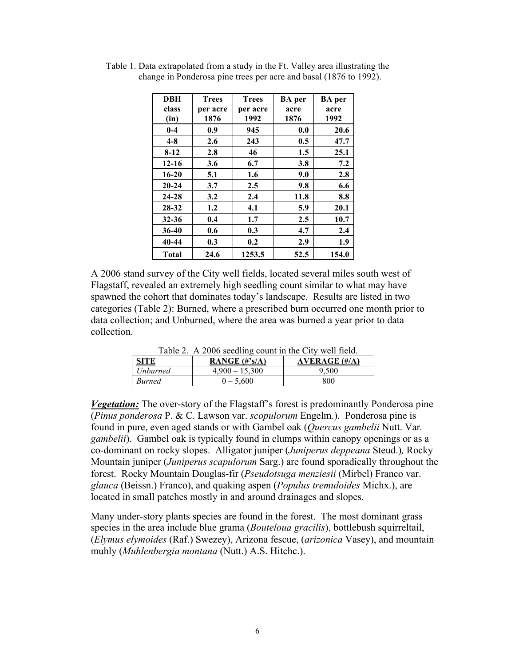| <b>DBH</b>   | <b>Trees</b> | <b>Trees</b> | <b>BA</b> per | <b>BA</b> per |
|--------------|--------------|--------------|---------------|---------------|
| class        | per acre     | per acre     | acre          | acre          |
| (in)         | 1876         | 1992         | 1876          | 1992          |
| $0-4$        | 0.9          | 945          | 0.0           | 20.6          |
| $4 - 8$      | 2.6          | 243          | 0.5           | 47.7          |
| $8 - 12$     | 2.8          | 46           | 1.5           | 25.1          |
| $12 - 16$    | 3.6          | 6.7          | 3.8           | 7.2           |
| $16 - 20$    | 5.1          | 1.6          | 9.0           | 2.8           |
| $20 - 24$    | 3.7          | 2.5          | 9.8           | 6.6           |
| 24-28        | 3.2          | 2.4          | 11.8          | 8.8           |
| 28-32        | 1.2          | 4.1          | 5.9           | 20.1          |
| $32 - 36$    | 0.4          | 1.7          | 2.5           | 10.7          |
| $36-40$      | 0.6          | 0.3          | 4.7           | 2.4           |
| 40-44        | 0.3          | 0.2          | 2.9           | 1.9           |
| <b>Total</b> | 24.6         | 1253.5       | 52.5          | 154.0         |

Table 1. Data extrapolated from a study in the Ft. Valley area illustrating the change in Ponderosa pine trees per acre and basal (1876 to 1992).

A 2006 stand survey of the City well fields, located several miles south west of Flagstaff, revealed an extremely high seedling count similar to what may have spawned the cohort that dominates today's landscape. Results are listed in two categories (Table 2): Burned, where a prescribed burn occurred one month prior to data collection; and Unburned, where the area was burned a year prior to data collection.

| <b>SITE</b>   | Fable 2. $A$ 2000 seedling count in the City went field.<br>RANGE $(\#^{\circ}s/A)$ | AVERAGE $(\#/A)$ |
|---------------|-------------------------------------------------------------------------------------|------------------|
| Unburned      | $4,900 - 15,300$                                                                    | 9.500            |
| <i>Burned</i> | $0 - 5.600$                                                                         | 800              |

Table 2. A 2006 seedling count in the City well field.

*Vegetation:* The over-story of the Flagstaff's forest is predominantly Ponderosa pine (*Pinus ponderosa* P. & C. Lawson var. *scopulorum* Engelm.). Ponderosa pine is found in pure, even aged stands or with Gambel oak (*Quercus gambelii* Nutt. Var*. gambelii*). Gambel oak is typically found in clumps within canopy openings or as a co-dominant on rocky slopes. Alligator juniper (*Juniperus deppeana* Steud.)*,* Rocky Mountain juniper (*Juniperus scapulorum* Sarg.) are found sporadically throughout the forest. Rocky Mountain Douglas-fir (*Pseudotsuga menziesii* (Mirbel) Franco var. *glauca* (Beissn.) Franco), and quaking aspen (*Populus tremuloides* Michx.), are located in small patches mostly in and around drainages and slopes.

Many under-story plants species are found in the forest. The most dominant grass species in the area include blue grama (*Bouteloua gracilis*), bottlebush squirreltail, (*Elymus elymoides* (Raf.) Swezey), Arizona fescue, (*arizonica* Vasey), and mountain muhly (*Muhlenbergia montana* (Nutt.) A.S. Hitchc.).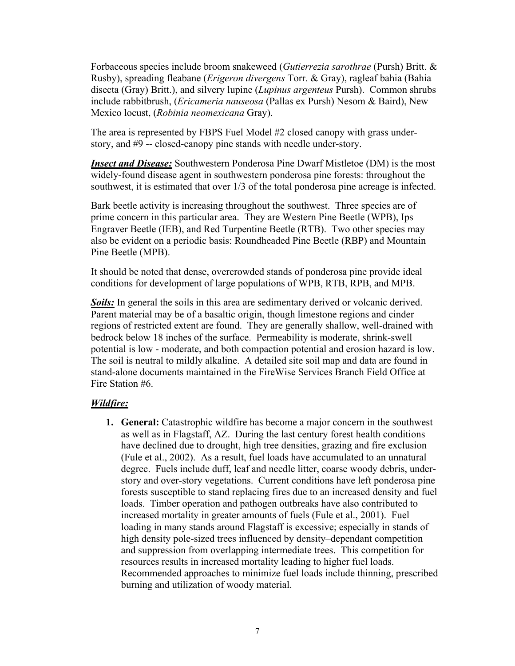Forbaceous species include broom snakeweed (*Gutierrezia sarothrae* (Pursh) Britt. & Rusby), spreading fleabane (*Erigeron divergens* Torr. & Gray), ragleaf bahia (Bahia disecta (Gray) Britt.), and silvery lupine (*Lupinus argenteus* Pursh). Common shrubs include rabbitbrush, (*Ericameria nauseosa* (Pallas ex Pursh) Nesom & Baird), New Mexico locust, (*Robinia neomexicana* Gray).

The area is represented by FBPS Fuel Model #2 closed canopy with grass understory, and #9 -- closed-canopy pine stands with needle under-story.

*Insect and Disease:* Southwestern Ponderosa Pine Dwarf Mistletoe (DM) is the most widely-found disease agent in southwestern ponderosa pine forests: throughout the southwest, it is estimated that over 1/3 of the total ponderosa pine acreage is infected.

Bark beetle activity is increasing throughout the southwest. Three species are of prime concern in this particular area. They are Western Pine Beetle (WPB), Ips Engraver Beetle (IEB), and Red Turpentine Beetle (RTB). Two other species may also be evident on a periodic basis: Roundheaded Pine Beetle (RBP) and Mountain Pine Beetle (MPB).

It should be noted that dense, overcrowded stands of ponderosa pine provide ideal conditions for development of large populations of WPB, RTB, RPB, and MPB.

*Soils:* In general the soils in this area are sedimentary derived or volcanic derived. Parent material may be of a basaltic origin, though limestone regions and cinder regions of restricted extent are found. They are generally shallow, well-drained with bedrock below 18 inches of the surface. Permeability is moderate, shrink-swell potential is low - moderate, and both compaction potential and erosion hazard is low. The soil is neutral to mildly alkaline. A detailed site soil map and data are found in stand-alone documents maintained in the FireWise Services Branch Field Office at Fire Station #6.

## *Wildfire:*

**1. General:** Catastrophic wildfire has become a major concern in the southwest as well as in Flagstaff, AZ. During the last century forest health conditions have declined due to drought, high tree densities, grazing and fire exclusion (Fule et al., 2002). As a result, fuel loads have accumulated to an unnatural degree. Fuels include duff, leaf and needle litter, coarse woody debris, understory and over-story vegetations. Current conditions have left ponderosa pine forests susceptible to stand replacing fires due to an increased density and fuel loads. Timber operation and pathogen outbreaks have also contributed to increased mortality in greater amounts of fuels (Fule et al., 2001). Fuel loading in many stands around Flagstaff is excessive; especially in stands of high density pole-sized trees influenced by density–dependant competition and suppression from overlapping intermediate trees. This competition for resources results in increased mortality leading to higher fuel loads. Recommended approaches to minimize fuel loads include thinning, prescribed burning and utilization of woody material.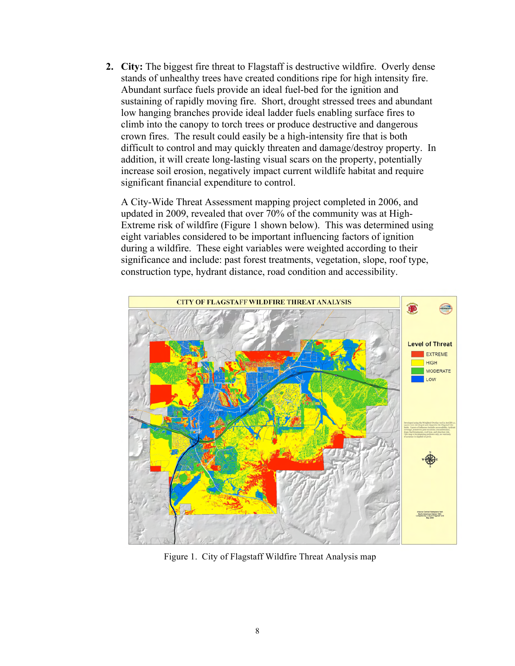**2. City:** The biggest fire threat to Flagstaff is destructive wildfire. Overly dense stands of unhealthy trees have created conditions ripe for high intensity fire. Abundant surface fuels provide an ideal fuel-bed for the ignition and sustaining of rapidly moving fire. Short, drought stressed trees and abundant low hanging branches provide ideal ladder fuels enabling surface fires to climb into the canopy to torch trees or produce destructive and dangerous crown fires. The result could easily be a high-intensity fire that is both difficult to control and may quickly threaten and damage/destroy property. In addition, it will create long-lasting visual scars on the property, potentially increase soil erosion, negatively impact current wildlife habitat and require significant financial expenditure to control.

A City-Wide Threat Assessment mapping project completed in 2006, and updated in 2009, revealed that over 70% of the community was at High-Extreme risk of wildfire (Figure 1 shown below). This was determined using eight variables considered to be important influencing factors of ignition during a wildfire. These eight variables were weighted according to their significance and include: past forest treatments, vegetation, slope, roof type, construction type, hydrant distance, road condition and accessibility.



Figure 1. City of Flagstaff Wildfire Threat Analysis map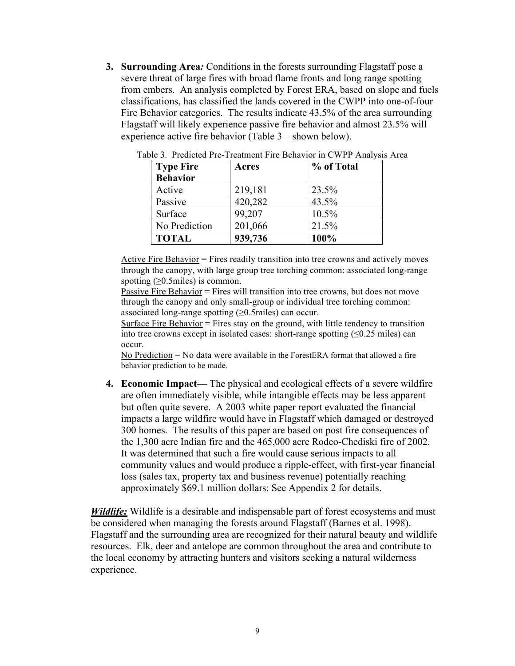**3. Surrounding Area***:* Conditions in the forests surrounding Flagstaff pose a severe threat of large fires with broad flame fronts and long range spotting from embers. An analysis completed by Forest ERA, based on slope and fuels classifications, has classified the lands covered in the CWPP into one-of-four Fire Behavior categories. The results indicate 43.5% of the area surrounding Flagstaff will likely experience passive fire behavior and almost 23.5% will experience active fire behavior (Table 3 – shown below).

| <b>Type Fire</b> | Acres   | % of Total |
|------------------|---------|------------|
| <b>Behavior</b>  |         |            |
| Active           | 219,181 | 23.5%      |
| Passive          | 420,282 | 43.5%      |
| Surface          | 99,207  | 10.5%      |
| No Prediction    | 201,066 | 21.5%      |
| <b>TOTAL</b>     | 939,736 | 100%       |

Table 3. Predicted Pre-Treatment Fire Behavior in CWPP Analysis Area

Active Fire Behavior = Fires readily transition into tree crowns and actively moves through the canopy, with large group tree torching common: associated long-range spotting  $( \geq 0.5 \text{ miles})$  is common.

Passive Fire Behavior = Fires will transition into tree crowns, but does not move through the canopy and only small-group or individual tree torching common: associated long-range spotting  $( \geq 0.5 \text{ miles})$  can occur.

Surface Fire Behavior  $=$  Fires stay on the ground, with little tendency to transition into tree crowns except in isolated cases: short-range spotting  $(\leq 0.25 \text{ miles})$  can occur.

No Prediction  $=$  No data were available in the ForestERA format that allowed a fire behavior prediction to be made.

**4. Economic Impact—** The physical and ecological effects of a severe wildfire are often immediately visible, while intangible effects may be less apparent but often quite severe. A 2003 white paper report evaluated the financial impacts a large wildfire would have in Flagstaff which damaged or destroyed 300 homes. The results of this paper are based on post fire consequences of the 1,300 acre Indian fire and the 465,000 acre Rodeo-Chediski fire of 2002. It was determined that such a fire would cause serious impacts to all community values and would produce a ripple-effect, with first-year financial loss (sales tax, property tax and business revenue) potentially reaching approximately \$69.1 million dollars: See Appendix 2 for details.

*Wildlife:* Wildlife is a desirable and indispensable part of forest ecosystems and must be considered when managing the forests around Flagstaff (Barnes et al. 1998). Flagstaff and the surrounding area are recognized for their natural beauty and wildlife resources. Elk, deer and antelope are common throughout the area and contribute to the local economy by attracting hunters and visitors seeking a natural wilderness experience.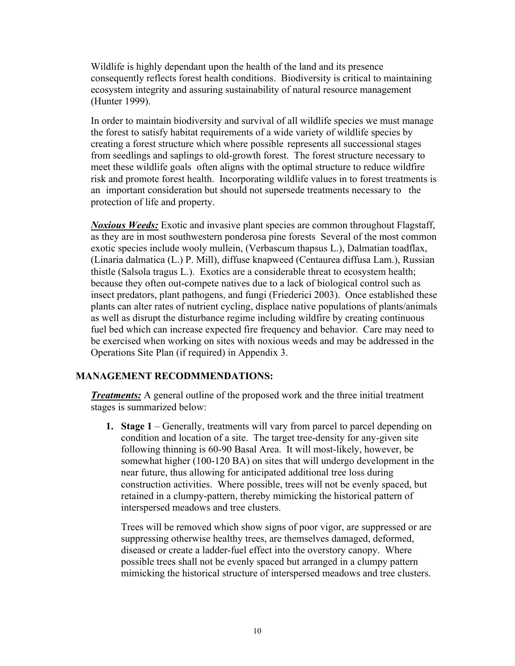Wildlife is highly dependant upon the health of the land and its presence consequently reflects forest health conditions. Biodiversity is critical to maintaining ecosystem integrity and assuring sustainability of natural resource management (Hunter 1999).

In order to maintain biodiversity and survival of all wildlife species we must manage the forest to satisfy habitat requirements of a wide variety of wildlife species by creating a forest structure which where possible represents all successional stages from seedlings and saplings to old-growth forest. The forest structure necessary to meet these wildlife goals often aligns with the optimal structure to reduce wildfire risk and promote forest health. Incorporating wildlife values in to forest treatments is an important consideration but should not supersede treatments necessary to the protection of life and property.

*Noxious Weeds:* Exotic and invasive plant species are common throughout Flagstaff, as they are in most southwestern ponderosa pine forests Several of the most common exotic species include wooly mullein, (Verbascum thapsus L.), Dalmatian toadflax, (Linaria dalmatica (L.) P. Mill), diffuse knapweed (Centaurea diffusa Lam.), Russian thistle (Salsola tragus L.). Exotics are a considerable threat to ecosystem health; because they often out-compete natives due to a lack of biological control such as insect predators, plant pathogens, and fungi (Friederici 2003). Once established these plants can alter rates of nutrient cycling, displace native populations of plants/animals as well as disrupt the disturbance regime including wildfire by creating continuous fuel bed which can increase expected fire frequency and behavior. Care may need to be exercised when working on sites with noxious weeds and may be addressed in the Operations Site Plan (if required) in Appendix 3.

## **MANAGEMENT RECODMMENDATIONS:**

*Treatments:* A general outline of the proposed work and the three initial treatment stages is summarized below:

**1. Stage 1** – Generally, treatments will vary from parcel to parcel depending on condition and location of a site. The target tree-density for any-given site following thinning is 60-90 Basal Area. It will most-likely, however, be somewhat higher (100-120 BA) on sites that will undergo development in the near future, thus allowing for anticipated additional tree loss during construction activities. Where possible, trees will not be evenly spaced, but retained in a clumpy-pattern, thereby mimicking the historical pattern of interspersed meadows and tree clusters.

Trees will be removed which show signs of poor vigor, are suppressed or are suppressing otherwise healthy trees, are themselves damaged, deformed, diseased or create a ladder-fuel effect into the overstory canopy.Where possible trees shall not be evenly spaced but arranged in a clumpy pattern mimicking the historical structure of interspersed meadows and tree clusters.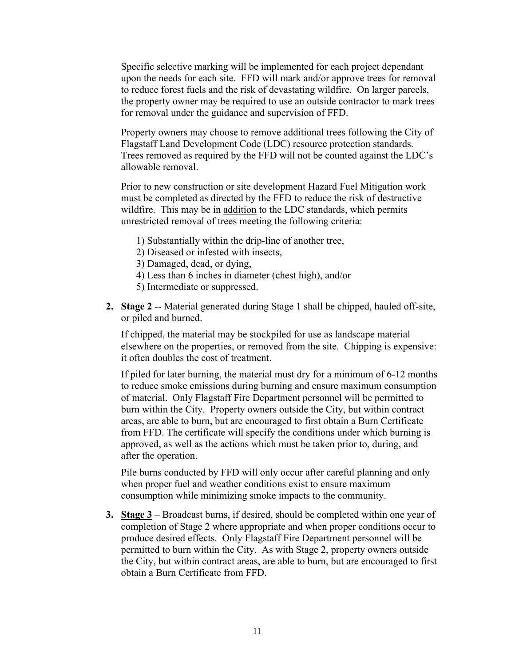Specific selective marking will be implemented for each project dependant upon the needs for each site. FFD will mark and/or approve trees for removal to reduce forest fuels and the risk of devastating wildfire. On larger parcels, the property owner may be required to use an outside contractor to mark trees for removal under the guidance and supervision of FFD.

Property owners may choose to remove additional trees following the City of Flagstaff Land Development Code (LDC) resource protection standards. Trees removed as required by the FFD will not be counted against the LDC's allowable removal.

Prior to new construction or site development Hazard Fuel Mitigation work must be completed as directed by the FFD to reduce the risk of destructive wildfire. This may be in addition to the LDC standards, which permits unrestricted removal of trees meeting the following criteria:

- 1) Substantially within the drip-line of another tree,
- 2) Diseased or infested with insects,
- 3) Damaged, dead, or dying,
- 4) Less than 6 inches in diameter (chest high), and/or
- 5) Intermediate or suppressed.
- **2. Stage 2** -- Material generated during Stage 1 shall be chipped, hauled off-site, or piled and burned.

If chipped, the material may be stockpiled for use as landscape material elsewhere on the properties, or removed from the site. Chipping is expensive: it often doubles the cost of treatment.

If piled for later burning, the material must dry for a minimum of 6-12 months to reduce smoke emissions during burning and ensure maximum consumption of material. Only Flagstaff Fire Department personnel will be permitted to burn within the City. Property owners outside the City, but within contract areas, are able to burn, but are encouraged to first obtain a Burn Certificate from FFD. The certificate will specify the conditions under which burning is approved, as well as the actions which must be taken prior to, during, and after the operation.

Pile burns conducted by FFD will only occur after careful planning and only when proper fuel and weather conditions exist to ensure maximum consumption while minimizing smoke impacts to the community.

**3. Stage 3** – Broadcast burns, if desired, should be completed within one year of completion of Stage 2 where appropriate and when proper conditions occur to produce desired effects. Only Flagstaff Fire Department personnel will be permitted to burn within the City. As with Stage 2, property owners outside the City, but within contract areas, are able to burn, but are encouraged to first obtain a Burn Certificate from FFD.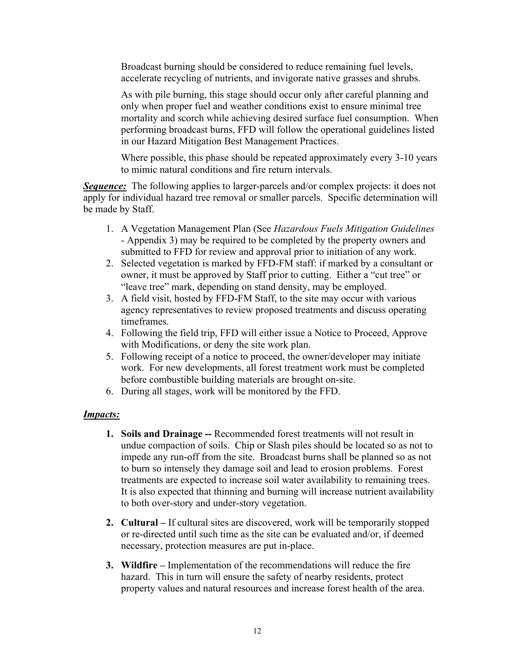Broadcast burning should be considered to reduce remaining fuel levels, accelerate recycling of nutrients, and invigorate native grasses and shrubs.

As with pile burning, this stage should occur only after careful planning and only when proper fuel and weather conditions exist to ensure minimal tree mortality and scorch while achieving desired surface fuel consumption. When performing broadcast burns, FFD will follow the operational guidelines listed in our Hazard Mitigation Best Management Practices.

Where possible, this phase should be repeated approximately every 3-10 years to mimic natural conditions and fire return intervals.

**Sequence:** The following applies to larger-parcels and/or complex projects: it does not apply for individual hazard tree removal or smaller parcels. Specific determination will be made by Staff.

- 1. A Vegetation Management Plan (See *Hazardous Fuels Mitigation Guidelines* - Appendix 3) may be required to be completed by the property owners and submitted to FFD for review and approval prior to initiation of any work.
- 2. Selected vegetation is marked by FFD-FM staff: if marked by a consultant or owner, it must be approved by Staff prior to cutting. Either a "cut tree" or "leave tree" mark, depending on stand density, may be employed.
- 3. A field visit, hosted by FFD-FM Staff, to the site may occur with various agency representatives to review proposed treatments and discuss operating timeframes.
- 4. Following the field trip, FFD will either issue a Notice to Proceed, Approve with Modifications, or deny the site work plan.
- 5. Following receipt of a notice to proceed, the owner/developer may initiate work. For new developments, all forest treatment work must be completed before combustible building materials are brought on-site.
- 6. During all stages, work will be monitored by the FFD.

## *Impacts:*

- **1. Soils and Drainage --** Recommended forest treatments will not result in undue compaction of soils. Chip or Slash piles should be located so as not to impede any run-off from the site. Broadcast burns shall be planned so as not to burn so intensely they damage soil and lead to erosion problems. Forest treatments are expected to increase soil water availability to remaining trees. It is also expected that thinning and burning will increase nutrient availability to both over-story and under-story vegetation.
- **2. Cultural –** If cultural sites are discovered, work will be temporarily stopped or re-directed until such time as the site can be evaluated and/or, if deemed necessary, protection measures are put in-place.
- **3. Wildfire –** Implementation of the recommendations will reduce the fire hazard. This in turn will ensure the safety of nearby residents, protect property values and natural resources and increase forest health of the area.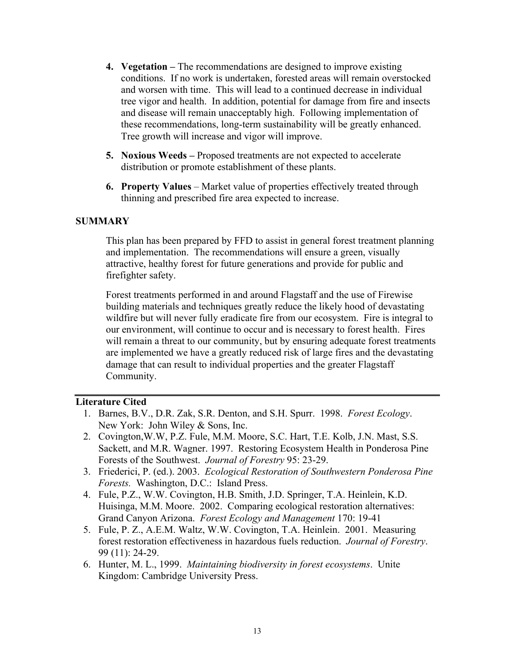- **4. Vegetation –** The recommendations are designed to improve existing conditions. If no work is undertaken, forested areas will remain overstocked and worsen with time. This will lead to a continued decrease in individual tree vigor and health. In addition, potential for damage from fire and insects and disease will remain unacceptably high. Following implementation of these recommendations, long-term sustainability will be greatly enhanced. Tree growth will increase and vigor will improve.
- **5. Noxious Weeds –** Proposed treatments are not expected to accelerate distribution or promote establishment of these plants.
- **6. Property Values** Market value of properties effectively treated through thinning and prescribed fire area expected to increase.

#### **SUMMARY**

This plan has been prepared by FFD to assist in general forest treatment planning and implementation. The recommendations will ensure a green, visually attractive, healthy forest for future generations and provide for public and firefighter safety.

Forest treatments performed in and around Flagstaff and the use of Firewise building materials and techniques greatly reduce the likely hood of devastating wildfire but will never fully eradicate fire from our ecosystem. Fire is integral to our environment, will continue to occur and is necessary to forest health. Fires will remain a threat to our community, but by ensuring adequate forest treatments are implemented we have a greatly reduced risk of large fires and the devastating damage that can result to individual properties and the greater Flagstaff Community.

#### **Literature Cited**

- 1. Barnes, B.V., D.R. Zak, S.R. Denton, and S.H. Spurr. 1998. *Forest Ecology*. New York: John Wiley & Sons, Inc.
- 2. Covington,W.W, P.Z. Fule, M.M. Moore, S.C. Hart, T.E. Kolb, J.N. Mast, S.S. Sackett, and M.R. Wagner. 1997. Restoring Ecosystem Health in Ponderosa Pine Forests of the Southwest. *Journal of Forestry* 95: 23-29.
- 3. Friederici, P. (ed.). 2003. *Ecological Restoration of Southwestern Ponderosa Pine Forests.* Washington, D.C.: Island Press.
- 4. Fule, P.Z., W.W. Covington, H.B. Smith, J.D. Springer, T.A. Heinlein, K.D. Huisinga, M.M. Moore. 2002. Comparing ecological restoration alternatives: Grand Canyon Arizona. *Forest Ecology and Management* 170: 19-41
- 5. Fule, P. Z., A.E.M. Waltz, W.W. Covington, T.A. Heinlein. 2001. Measuring forest restoration effectiveness in hazardous fuels reduction. *Journal of Forestry*. 99 (11): 24-29.
- 6. Hunter, M. L., 1999. *Maintaining biodiversity in forest ecosystems*. Unite Kingdom: Cambridge University Press.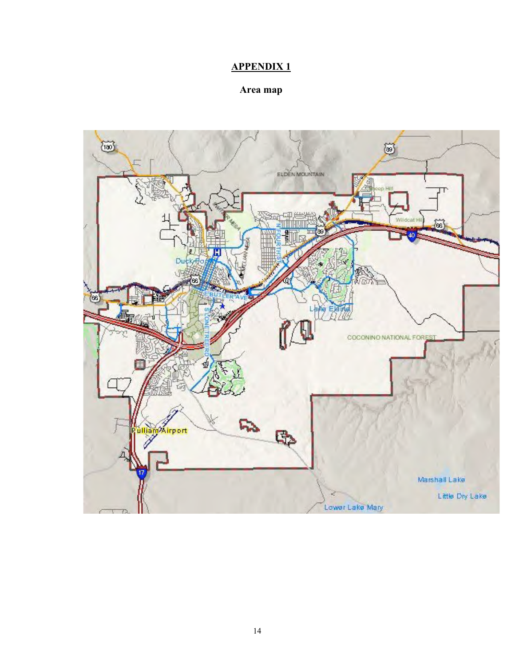# **APPENDIX 1**

# **Area map**

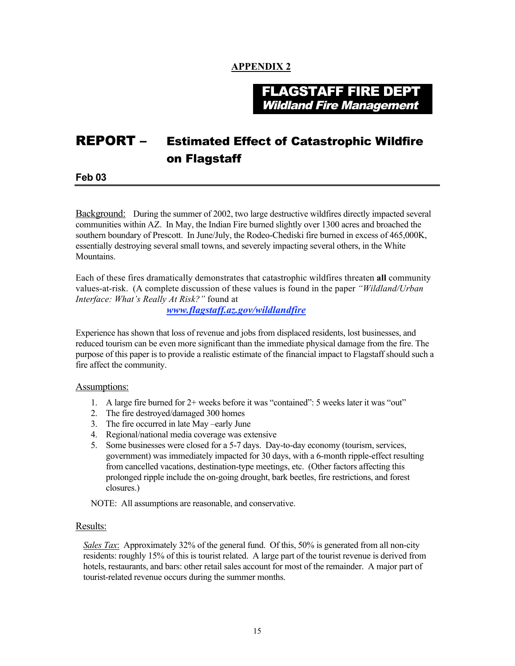#### **APPENDIX 2**

FLAGSTAFF FIRE DEPT Wildland Fire Management

# REPORT – Estimated Effect of Catastrophic Wildfire on Flagstaff

**Feb 03**

Background: During the summer of 2002, two large destructive wildfires directly impacted several communities within AZ. In May, the Indian Fire burned slightly over 1300 acres and broached the southern boundary of Prescott. In June/July, the Rodeo-Chediski fire burned in excess of 465,000K, essentially destroying several small towns, and severely impacting several others, in the White Mountains.

Each of these fires dramatically demonstrates that catastrophic wildfires threaten **all** community values-at-risk. (A complete discussion of these values is found in the paper *"Wildland/Urban Interface: What's Really At Risk?"* found at

*www.flagstaff.az.gov/wildlandfire*

Experience has shown that loss of revenue and jobs from displaced residents, lost businesses, and reduced tourism can be even more significant than the immediate physical damage from the fire. The purpose of this paper is to provide a realistic estimate of the financial impact to Flagstaff should such a fire affect the community.

#### Assumptions:

- 1. A large fire burned for 2+ weeks before it was "contained": 5 weeks later it was "out"
- 2. The fire destroyed/damaged 300 homes
- 3. The fire occurred in late May –early June
- 4. Regional/national media coverage was extensive
- 5. Some businesses were closed for a 5-7 days. Day-to-day economy (tourism, services, government) was immediately impacted for 30 days, with a 6-month ripple-effect resulting from cancelled vacations, destination-type meetings, etc. (Other factors affecting this prolonged ripple include the on-going drought, bark beetles, fire restrictions, and forest closures.)

NOTE: All assumptions are reasonable, and conservative.

#### Results:

*Sales Tax*: Approximately 32% of the general fund. Of this, 50% is generated from all non-city residents: roughly 15% of this is tourist related. A large part of the tourist revenue is derived from hotels, restaurants, and bars: other retail sales account for most of the remainder. A major part of tourist-related revenue occurs during the summer months.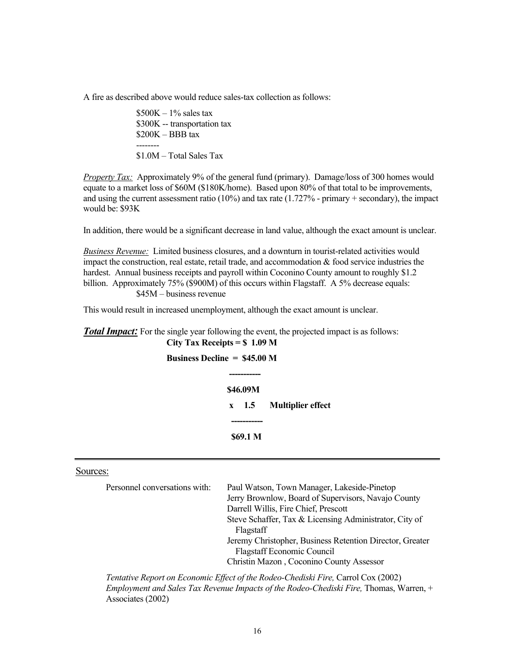A fire as described above would reduce sales-tax collection as follows:

 $$500K - 1\%$  sales tax \$300K -- transportation tax \$200K – BBB tax -------- \$1.0M – Total Sales Tax

*Property Tax:* Approximately 9% of the general fund (primary). Damage/loss of 300 homes would equate to a market loss of \$60M (\$180K/home). Based upon 80% of that total to be improvements, and using the current assessment ratio  $(10\%)$  and tax rate  $(1.727\%$  - primary + secondary), the impact would be: \$93K

In addition, there would be a significant decrease in land value, although the exact amount is unclear.

*Business Revenue:* Limited business closures, and a downturn in tourist-related activities would impact the construction, real estate, retail trade, and accommodation  $\&$  food service industries the hardest. Annual business receipts and payroll within Coconino County amount to roughly \$1.2 billion. Approximately 75% (\$900M) of this occurs within Flagstaff. A 5% decrease equals: \$45M – business revenue

This would result in increased unemployment, although the exact amount is unclear.

#### **Total Impact**: For the single year following the event, the projected impact is as follows: **City Tax Receipts = \$ 1.09 M**

| Business Decline $=$ \$45.00 M |               |                          |
|--------------------------------|---------------|--------------------------|
|                                |               |                          |
|                                | \$46.09M      |                          |
|                                | $x \quad 1.5$ | <b>Multiplier effect</b> |
|                                |               |                          |
|                                | \$69.1 M      |                          |

#### Sources:

| Personnel conversations with: | Paul Watson, Town Manager, Lakeside-Pinetop              |
|-------------------------------|----------------------------------------------------------|
|                               | Jerry Brownlow, Board of Supervisors, Navajo County      |
|                               | Darrell Willis, Fire Chief, Prescott                     |
|                               | Steve Schaffer, Tax & Licensing Administrator, City of   |
|                               | Flagstaff                                                |
|                               | Jeremy Christopher, Business Retention Director, Greater |
|                               | <b>Flagstaff Economic Council</b>                        |
|                               | Christin Mazon, Coconino County Assessor                 |
|                               |                                                          |

*Tentative Report on Economic Effect of the Rodeo-Chediski Fire,* Carrol Cox (2002) *Employment and Sales Tax Revenue Impacts of the Rodeo-Chediski Fire,* Thomas, Warren, + Associates (2002)